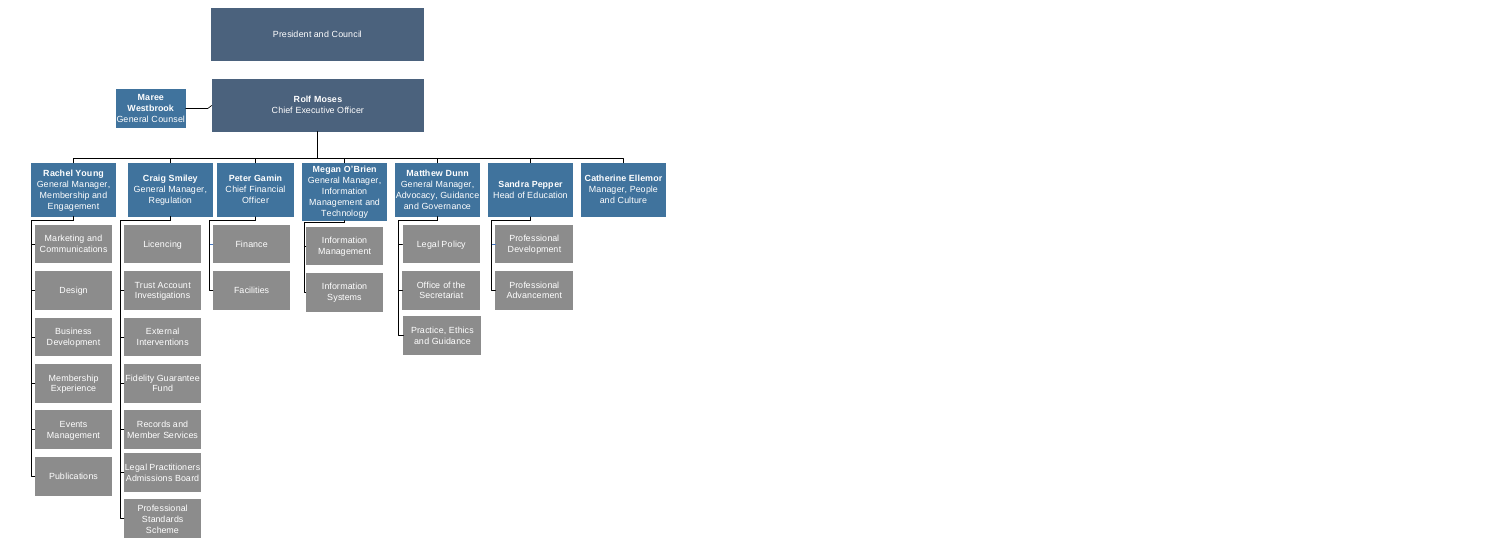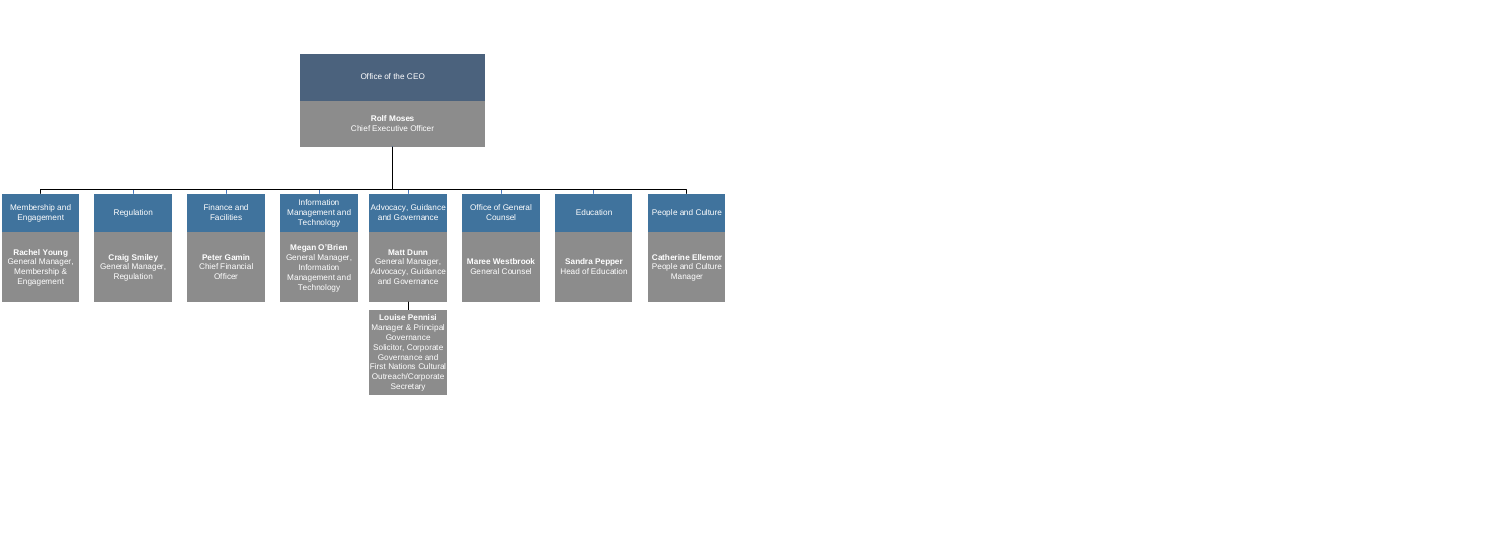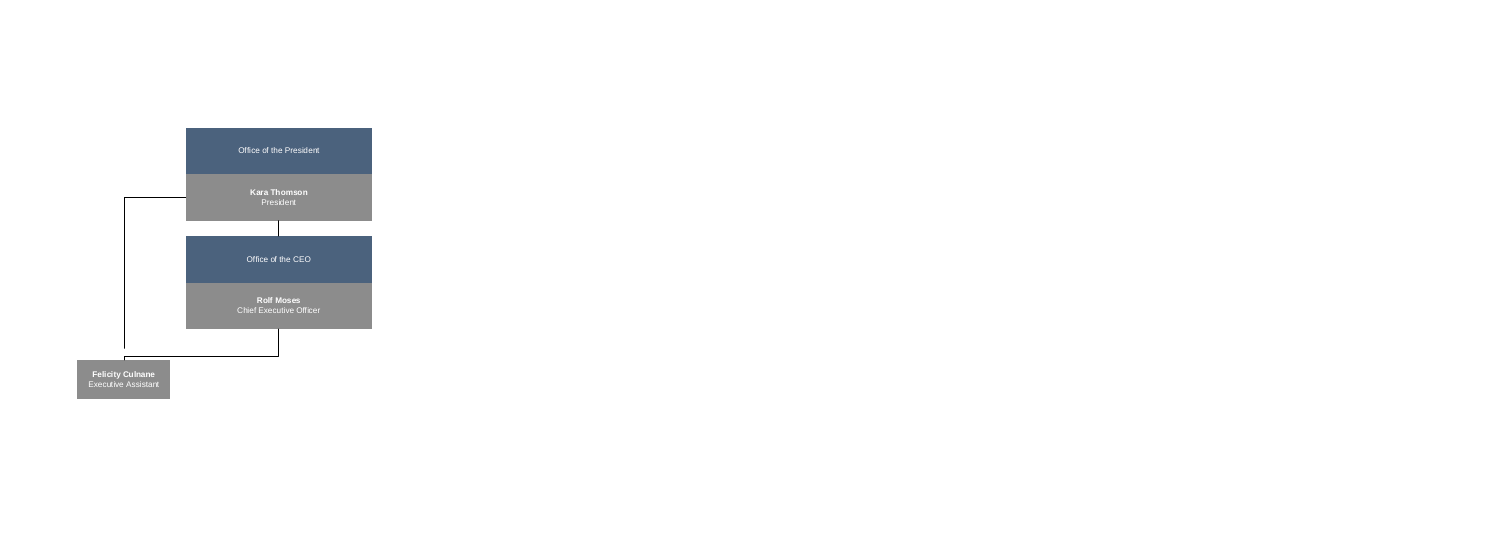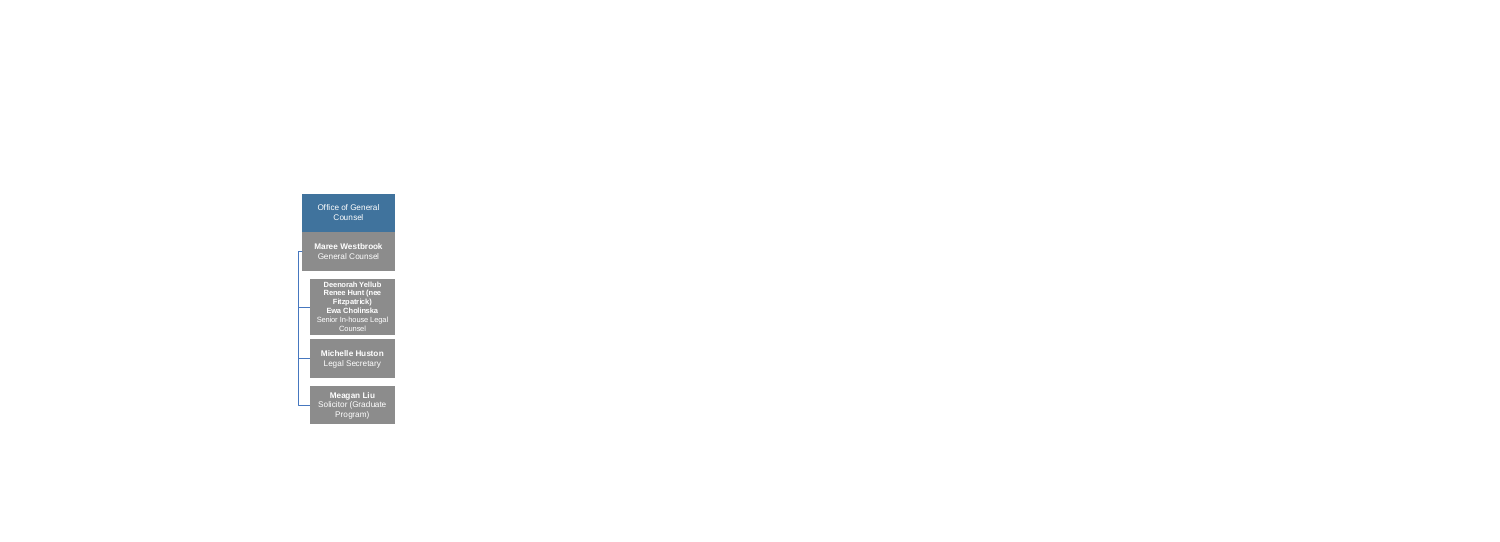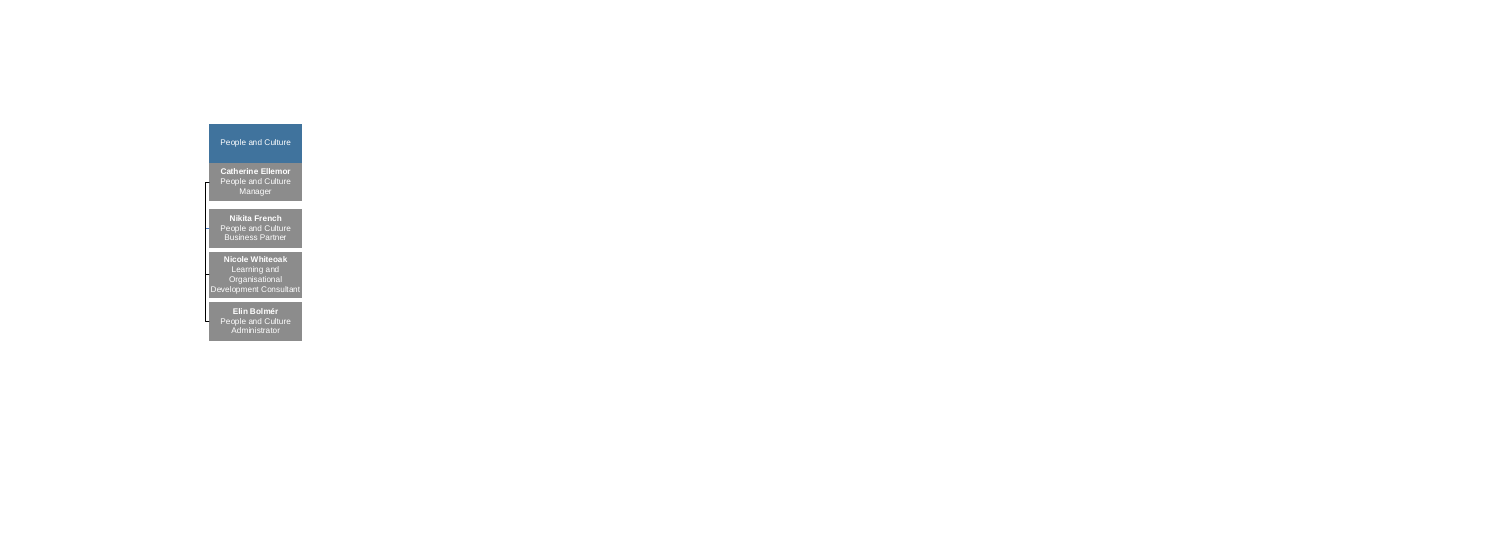People and Culture

**Catherine Ellemor** People and Culture **Manager** 

**Nikita French** People and Culture Business Partner

**Elin Bolmér** People and Culture Administrator

**Nicole Whiteoak** Learning and **Organisational** Development Consultant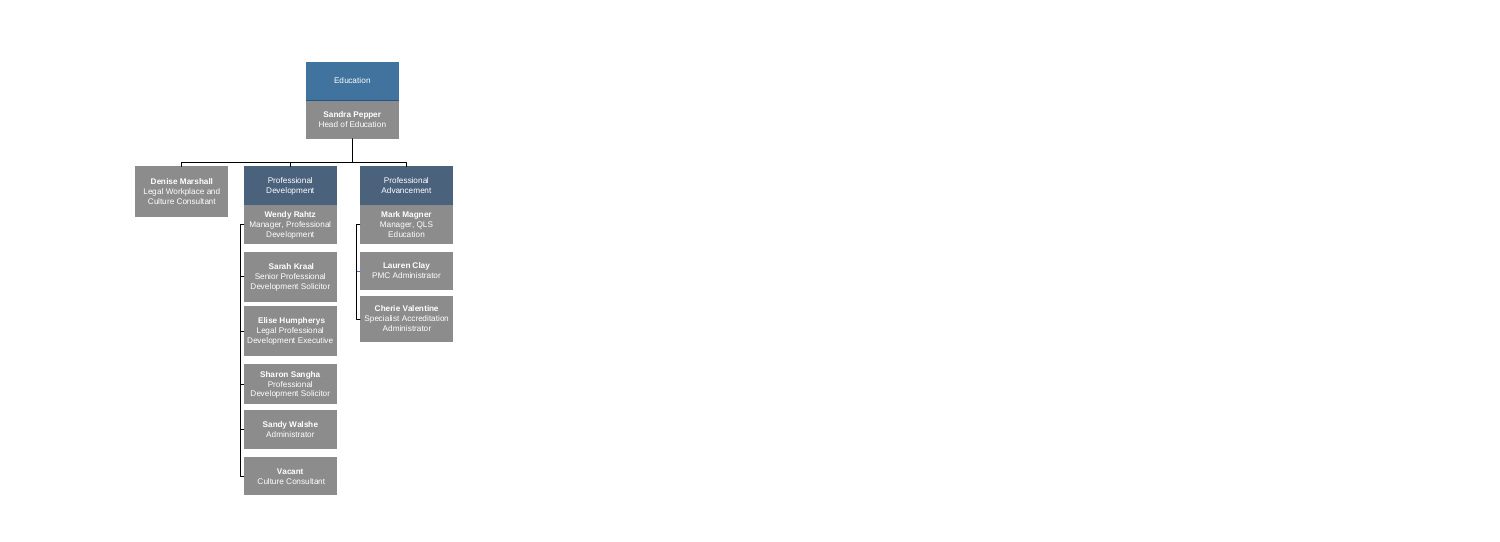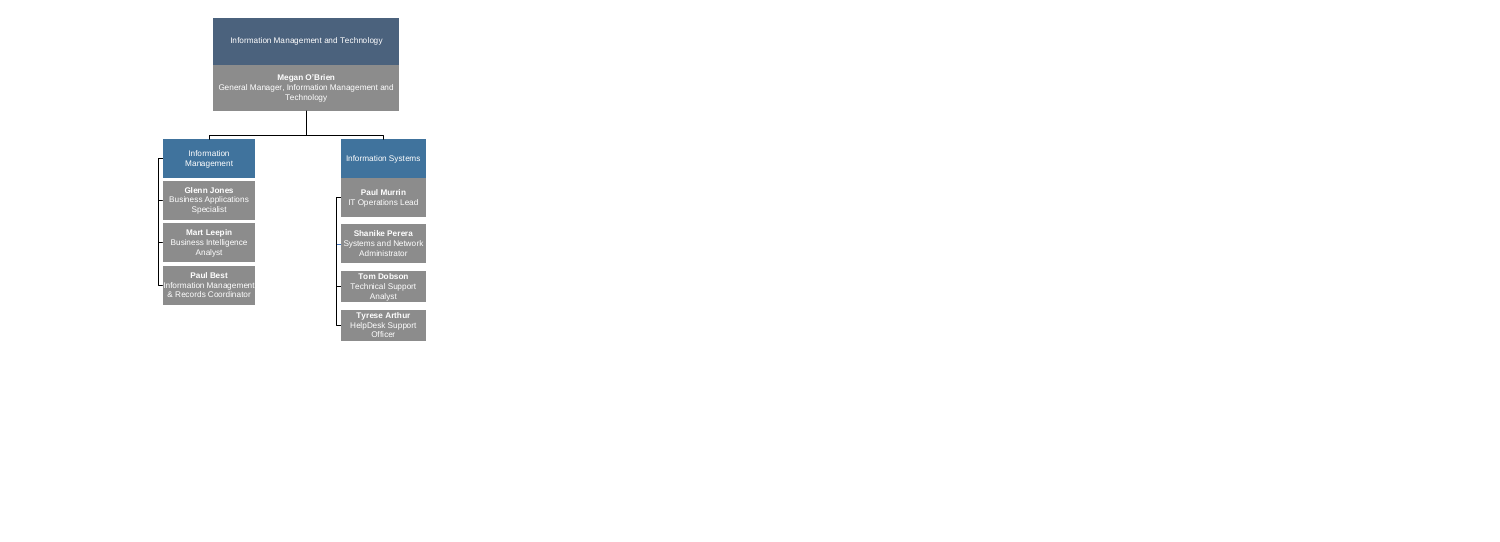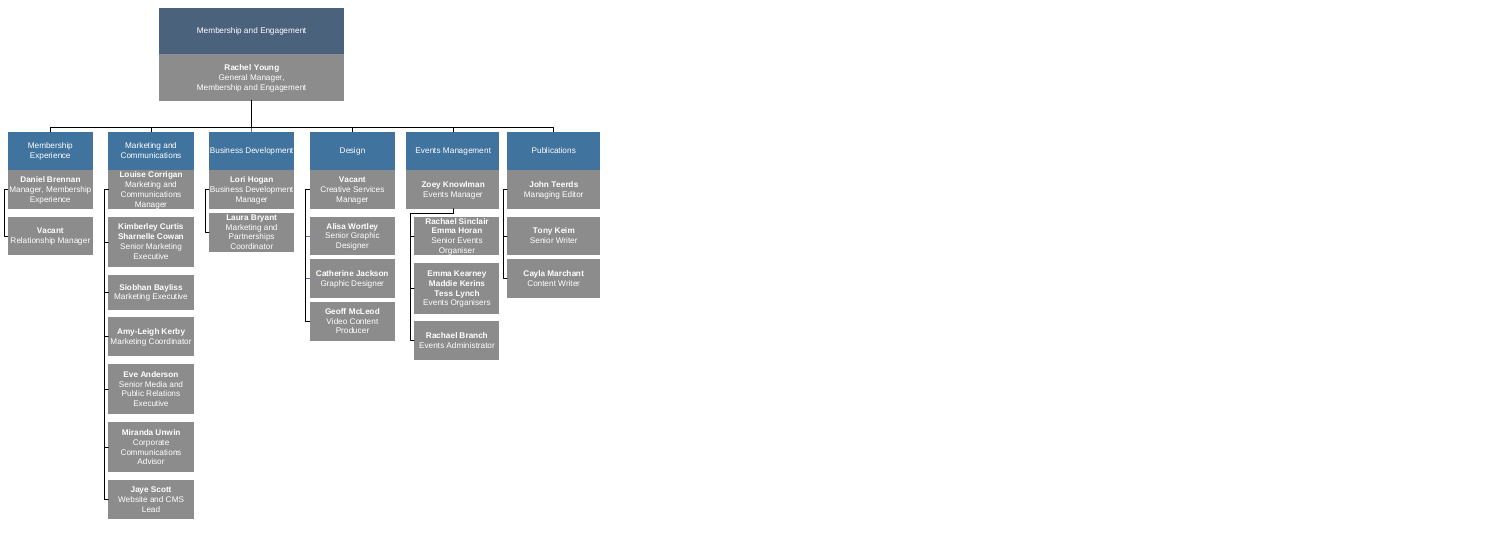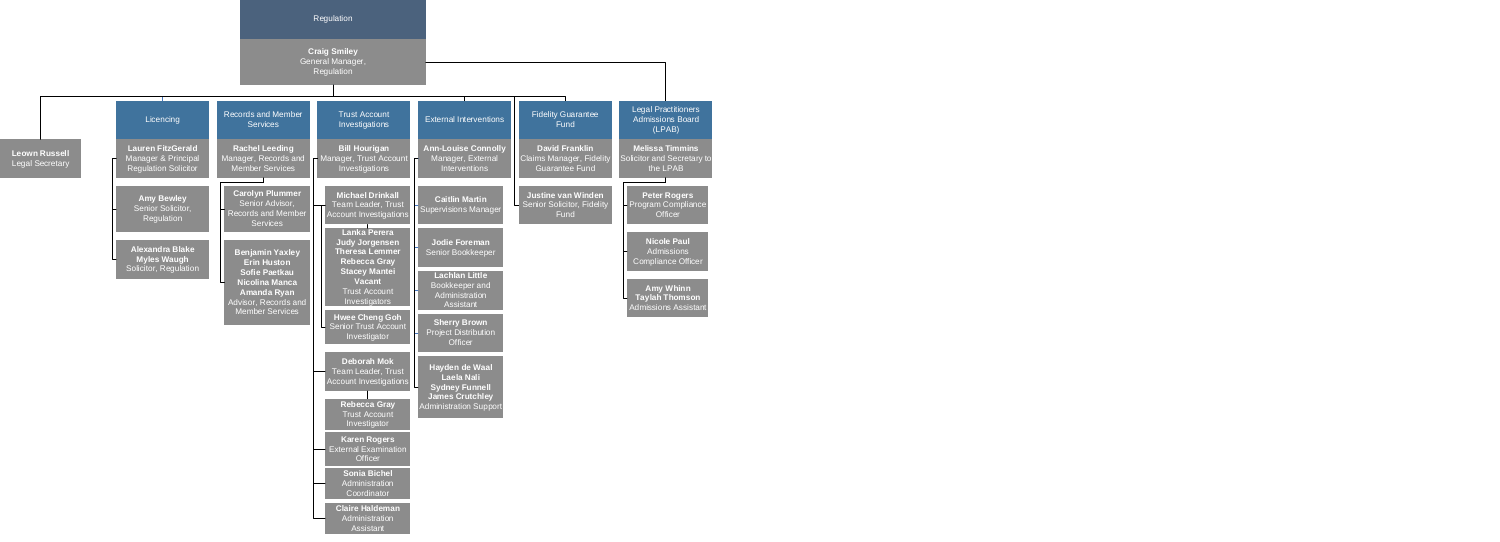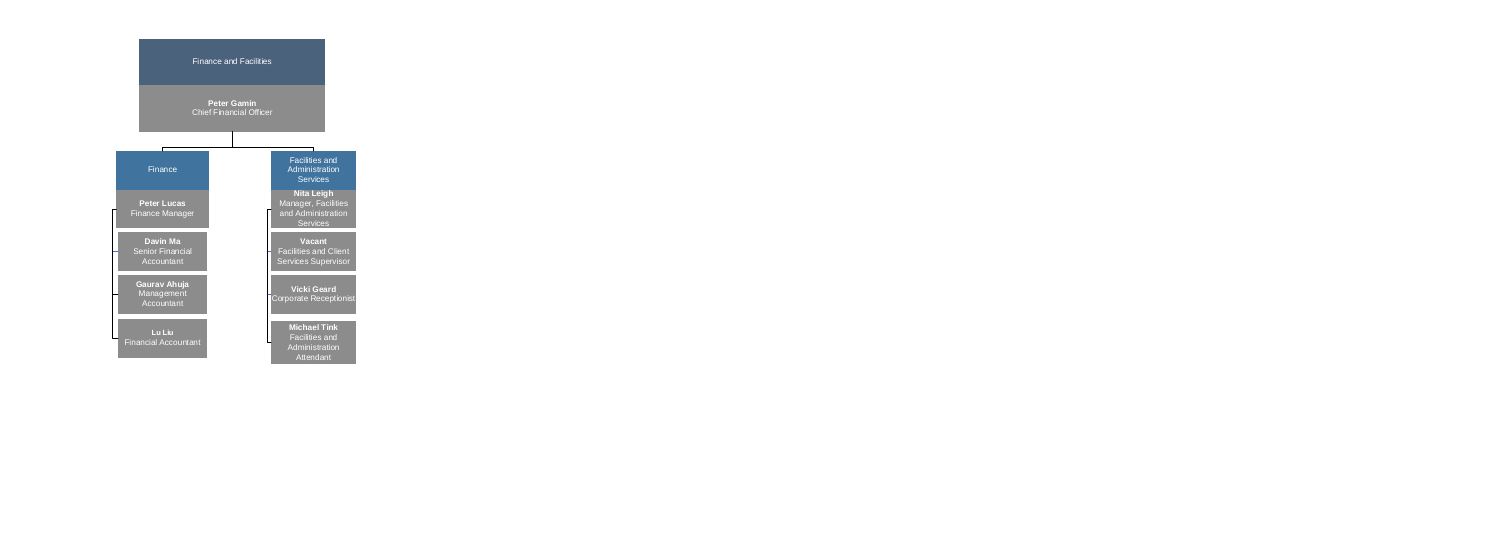